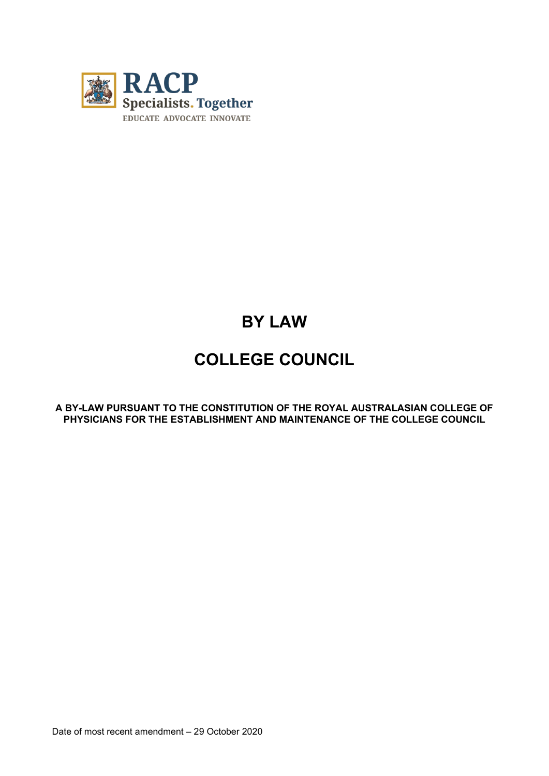

# **BY LAW**

## **COLLEGE COUNCIL**

**A BY-LAW PURSUANT TO THE CONSTITUTION OF THE ROYAL AUSTRALASIAN COLLEGE OF PHYSICIANS FOR THE ESTABLISHMENT AND MAINTENANCE OF THE COLLEGE COUNCIL**

Date of most recent amendment – 29 October 2020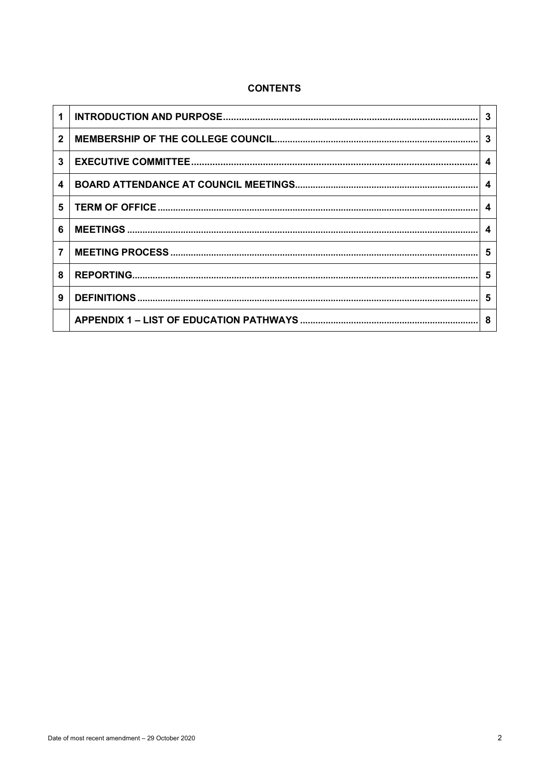## **CONTENTS**

|              | 3                |
|--------------|------------------|
| $\mathbf{2}$ | -3               |
| 3            | $\boldsymbol{4}$ |
| 4            | - 4              |
| 5            | 4                |
| 6            | 4                |
| 7            | 5                |
| 8            | -5               |
| 9            | 5                |
|              | 8                |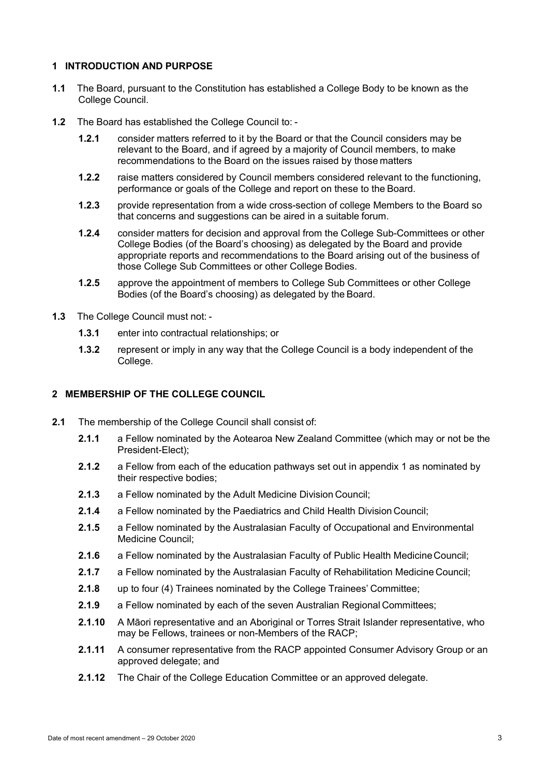#### **1 INTRODUCTION AND PURPOSE**

- **1.1** The Board, pursuant to the Constitution has established a College Body to be known as the College Council.
- **1.2** The Board has established the College Council to:
	- **1.2.1** consider matters referred to it by the Board or that the Council considers may be relevant to the Board, and if agreed by a majority of Council members, to make recommendations to the Board on the issues raised by those matters
	- **1.2.2** raise matters considered by Council members considered relevant to the functioning, performance or goals of the College and report on these to the Board.
	- **1.2.3** provide representation from a wide cross-section of college Members to the Board so that concerns and suggestions can be aired in a suitable forum.
	- **1.2.4** consider matters for decision and approval from the College Sub-Committees or other College Bodies (of the Board's choosing) as delegated by the Board and provide appropriate reports and recommendations to the Board arising out of the business of those College Sub Committees or other College Bodies.
	- **1.2.5** approve the appointment of members to College Sub Committees or other College Bodies (of the Board's choosing) as delegated by the Board.
- **1.3** The College Council must not:
	- **1.3.1** enter into contractual relationships; or
	- **1.3.2** represent or imply in any way that the College Council is a body independent of the College.

#### **2 MEMBERSHIP OF THE COLLEGE COUNCIL**

- **2.1** The membership of the College Council shall consist of:
	- **2.1.1** a Fellow nominated by the Aotearoa New Zealand Committee (which may or not be the President-Elect);
	- **2.1.2** a Fellow from each of the education pathways set out in appendix 1 as nominated by their respective bodies;
	- **2.1.3** a Fellow nominated by the Adult Medicine Division Council;
	- **2.1.4** a Fellow nominated by the Paediatrics and Child Health Division Council;
	- **2.1.5** a Fellow nominated by the Australasian Faculty of Occupational and Environmental Medicine Council;
	- **2.1.6** a Fellow nominated by the Australasian Faculty of Public Health MedicineCouncil;
	- **2.1.7** a Fellow nominated by the Australasian Faculty of Rehabilitation Medicine Council;
	- **2.1.8** up to four (4) Trainees nominated by the College Trainees' Committee;
	- **2.1.9** a Fellow nominated by each of the seven Australian Regional Committees;
	- **2.1.10** A Māori representative and an Aboriginal or Torres Strait Islander representative, who may be Fellows, trainees or non-Members of the RACP;
	- **2.1.11** A consumer representative from the RACP appointed Consumer Advisory Group or an approved delegate; and
	- **2.1.12** The Chair of the College Education Committee or an approved delegate.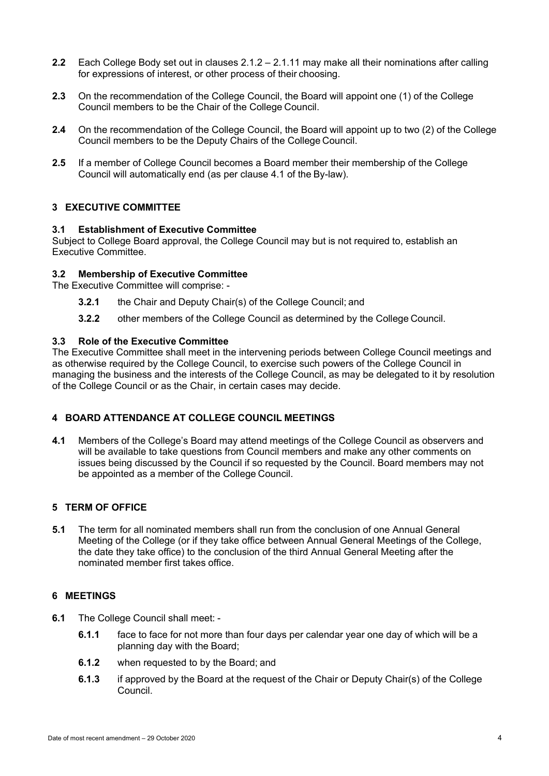- **2.2** Each College Body set out in clauses 2.1.2 2.1.11 may make all their nominations after calling for expressions of interest, or other process of their choosing.
- **2.3** On the recommendation of the College Council, the Board will appoint one (1) of the College Council members to be the Chair of the College Council.
- **2.4** On the recommendation of the College Council, the Board will appoint up to two (2) of the College Council members to be the Deputy Chairs of the College Council.
- **2.5** If a member of College Council becomes a Board member their membership of the College Council will automatically end (as per clause 4.1 of the By-law).

### **3 EXECUTIVE COMMITTEE**

#### **3.1 Establishment of Executive Committee**

Subject to College Board approval, the College Council may but is not required to, establish an Executive Committee.

### **3.2 Membership of Executive Committee**

The Executive Committee will comprise: -

- **3.2.1** the Chair and Deputy Chair(s) of the College Council; and
- **3.2.2** other members of the College Council as determined by the College Council.

#### **3.3 Role of the Executive Committee**

The Executive Committee shall meet in the intervening periods between College Council meetings and as otherwise required by the College Council, to exercise such powers of the College Council in managing the business and the interests of the College Council, as may be delegated to it by resolution of the College Council or as the Chair, in certain cases may decide.

## **4 BOARD ATTENDANCE AT COLLEGE COUNCIL MEETINGS**

**4.1** Members of the College's Board may attend meetings of the College Council as observers and will be available to take questions from Council members and make any other comments on issues being discussed by the Council if so requested by the Council. Board members may not be appointed as a member of the College Council.

## **5 TERM OF OFFICE**

**5.1** The term for all nominated members shall run from the conclusion of one Annual General Meeting of the College (or if they take office between Annual General Meetings of the College, the date they take office) to the conclusion of the third Annual General Meeting after the nominated member first takes office.

#### **6 MEETINGS**

- **6.1** The College Council shall meet:
	- **6.1.1** face to face for not more than four days per calendar year one day of which will be a planning day with the Board;
	- **6.1.2** when requested to by the Board; and
	- **6.1.3** if approved by the Board at the request of the Chair or Deputy Chair(s) of the College Council.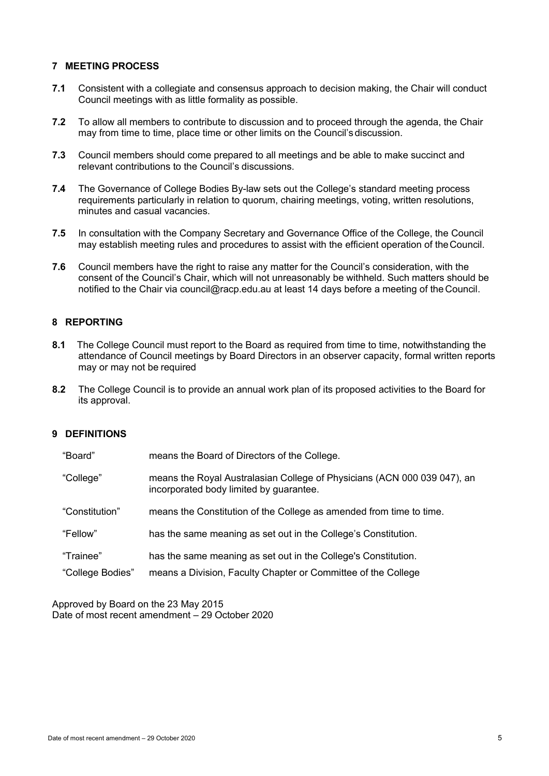#### **7 MEETING PROCESS**

- **7.1** Consistent with a collegiate and consensus approach to decision making, the Chair will conduct Council meetings with as little formality as possible.
- **7.2** To allow all members to contribute to discussion and to proceed through the agenda, the Chair may from time to time, place time or other limits on the Council's discussion.
- **7.3** Council members should come prepared to all meetings and be able to make succinct and relevant contributions to the Council's discussions.
- **7.4** The Governance of College Bodies By-law sets out the College's standard meeting process requirements particularly in relation to quorum, chairing meetings, voting, written resolutions, minutes and casual vacancies.
- **7.5** In consultation with the Company Secretary and Governance Office of the College, the Council may establish meeting rules and procedures to assist with the efficient operation of theCouncil.
- **7.6** Council members have the right to raise any matter for the Council's consideration, with the consent of the Council's Chair, which will not unreasonably be withheld. Such matters should be notified to the Chair via [council@racp.edu.au a](mailto:council@racp.edu.au)t least 14 days before a meeting of theCouncil.

## **8 REPORTING**

- **8.1** The College Council must report to the Board as required from time to time, notwithstanding the attendance of Council meetings by Board Directors in an observer capacity, formal written reports may or may not be required
- **8.2** The College Council is to provide an annual work plan of its proposed activities to the Board for its approval.

### **9 DEFINITIONS**

| "Board"          | means the Board of Directors of the College.                                                                        |
|------------------|---------------------------------------------------------------------------------------------------------------------|
| "College"        | means the Royal Australasian College of Physicians (ACN 000 039 047), an<br>incorporated body limited by guarantee. |
| "Constitution"   | means the Constitution of the College as amended from time to time.                                                 |
| "Fellow"         | has the same meaning as set out in the College's Constitution.                                                      |
| "Trainee"        | has the same meaning as set out in the College's Constitution.                                                      |
| "College Bodies" | means a Division, Faculty Chapter or Committee of the College                                                       |

Approved by Board on the 23 May 2015 Date of most recent amendment – 29 October 2020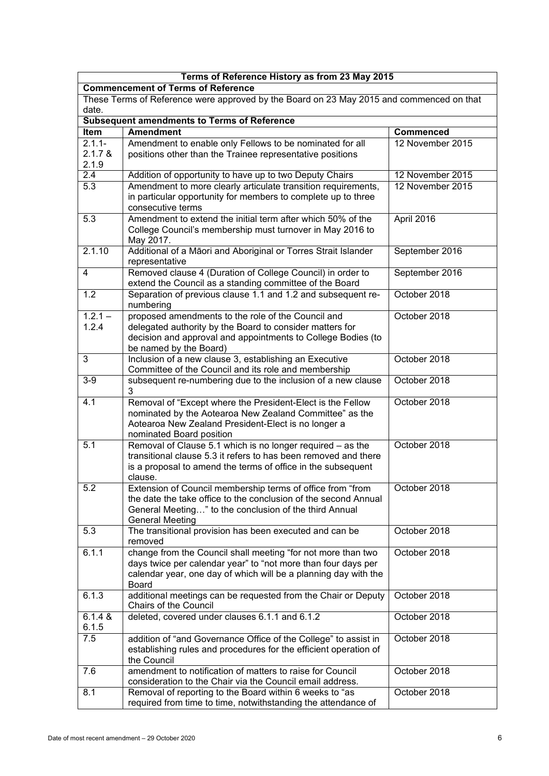| Terms of Reference History as from 23 May 2015                                                    |                                                                                                                                                                                                                   |                  |  |  |  |  |
|---------------------------------------------------------------------------------------------------|-------------------------------------------------------------------------------------------------------------------------------------------------------------------------------------------------------------------|------------------|--|--|--|--|
| <b>Commencement of Terms of Reference</b>                                                         |                                                                                                                                                                                                                   |                  |  |  |  |  |
| These Terms of Reference were approved by the Board on 23 May 2015 and commenced on that<br>date. |                                                                                                                                                                                                                   |                  |  |  |  |  |
|                                                                                                   | <b>Subsequent amendments to Terms of Reference</b>                                                                                                                                                                |                  |  |  |  |  |
| Item                                                                                              | <b>Amendment</b>                                                                                                                                                                                                  | <b>Commenced</b> |  |  |  |  |
| $2.1.1 -$<br>2.1.7 &<br>2.1.9                                                                     | Amendment to enable only Fellows to be nominated for all<br>positions other than the Trainee representative positions                                                                                             | 12 November 2015 |  |  |  |  |
| $\overline{2.4}$                                                                                  | Addition of opportunity to have up to two Deputy Chairs                                                                                                                                                           | 12 November 2015 |  |  |  |  |
| 5.3                                                                                               | Amendment to more clearly articulate transition requirements,<br>in particular opportunity for members to complete up to three<br>consecutive terms                                                               | 12 November 2015 |  |  |  |  |
| 5.3                                                                                               | Amendment to extend the initial term after which 50% of the<br>College Council's membership must turnover in May 2016 to<br>May 2017.                                                                             | April 2016       |  |  |  |  |
| 2.1.10                                                                                            | Additional of a Māori and Aboriginal or Torres Strait Islander<br>representative                                                                                                                                  | September 2016   |  |  |  |  |
| $\overline{4}$                                                                                    | Removed clause 4 (Duration of College Council) in order to<br>extend the Council as a standing committee of the Board                                                                                             | September 2016   |  |  |  |  |
| 1.2                                                                                               | Separation of previous clause 1.1 and 1.2 and subsequent re-<br>numbering                                                                                                                                         | October 2018     |  |  |  |  |
| $1.2.1 -$<br>1.2.4                                                                                | proposed amendments to the role of the Council and<br>delegated authority by the Board to consider matters for<br>decision and approval and appointments to College Bodies (to<br>be named by the Board)          | October 2018     |  |  |  |  |
| 3                                                                                                 | Inclusion of a new clause 3, establishing an Executive<br>Committee of the Council and its role and membership                                                                                                    | October 2018     |  |  |  |  |
| $3-9$                                                                                             | subsequent re-numbering due to the inclusion of a new clause<br>3                                                                                                                                                 | October 2018     |  |  |  |  |
| 4.1                                                                                               | Removal of "Except where the President-Elect is the Fellow<br>nominated by the Aotearoa New Zealand Committee" as the<br>Aotearoa New Zealand President-Elect is no longer a<br>nominated Board position          | October 2018     |  |  |  |  |
| 5.1                                                                                               | Removal of Clause 5.1 which is no longer required - as the<br>transitional clause 5.3 it refers to has been removed and there<br>is a proposal to amend the terms of office in the subsequent<br>clause.          | October 2018     |  |  |  |  |
| $\overline{5.2}$                                                                                  | Extension of Council membership terms of office from "from<br>the date the take office to the conclusion of the second Annual<br>General Meeting" to the conclusion of the third Annual<br><b>General Meeting</b> | October 2018     |  |  |  |  |
| 5.3                                                                                               | The transitional provision has been executed and can be<br>removed                                                                                                                                                | October 2018     |  |  |  |  |
| 6.1.1                                                                                             | change from the Council shall meeting "for not more than two<br>days twice per calendar year" to "not more than four days per<br>calendar year, one day of which will be a planning day with the<br><b>Board</b>  | October 2018     |  |  |  |  |
| 6.1.3                                                                                             | additional meetings can be requested from the Chair or Deputy<br>Chairs of the Council                                                                                                                            | October 2018     |  |  |  |  |
| $6.1.4 \&$<br>6.1.5                                                                               | deleted, covered under clauses 6.1.1 and 6.1.2                                                                                                                                                                    | October 2018     |  |  |  |  |
| 7.5                                                                                               | addition of "and Governance Office of the College" to assist in<br>establishing rules and procedures for the efficient operation of<br>the Council                                                                | October 2018     |  |  |  |  |
| 7.6                                                                                               | amendment to notification of matters to raise for Council<br>consideration to the Chair via the Council email address.                                                                                            | October 2018     |  |  |  |  |
| 8.1                                                                                               | Removal of reporting to the Board within 6 weeks to "as<br>required from time to time, notwithstanding the attendance of                                                                                          | October 2018     |  |  |  |  |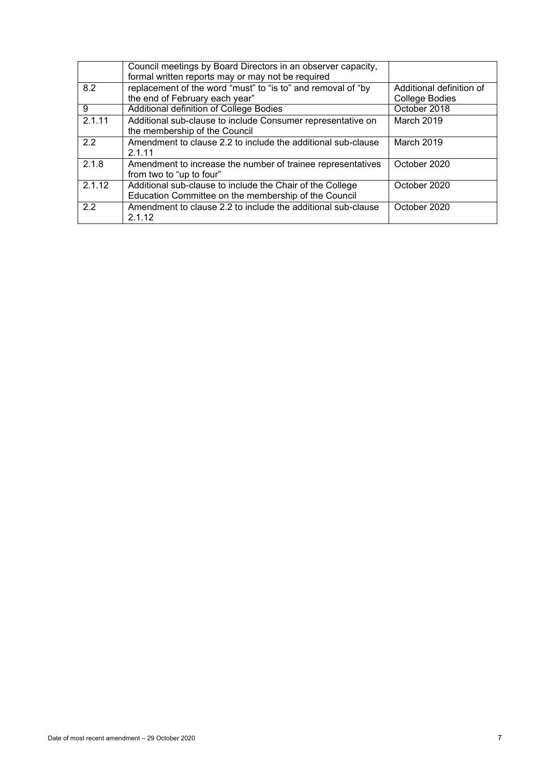|        | Council meetings by Board Directors in an observer capacity, |                          |
|--------|--------------------------------------------------------------|--------------------------|
|        | formal written reports may or may not be required            |                          |
| 8.2    | replacement of the word "must" to "is to" and removal of "by | Additional definition of |
|        | the end of February each year"                               | College Bodies           |
| 9      | Additional definition of College Bodies                      | October 2018             |
| 2.1.11 | Additional sub-clause to include Consumer representative on  | March 2019               |
|        | the membership of the Council                                |                          |
| 2.2    | Amendment to clause 2.2 to include the additional sub-clause | March 2019               |
|        | 2.1.11                                                       |                          |
| 2.1.8  | Amendment to increase the number of trainee representatives  | October 2020             |
|        | from two to "up to four"                                     |                          |
| 2.1.12 | Additional sub-clause to include the Chair of the College    | October 2020             |
|        | Education Committee on the membership of the Council         |                          |
| 2.2    | Amendment to clause 2.2 to include the additional sub-clause | October 2020             |
|        | 2.1.12                                                       |                          |